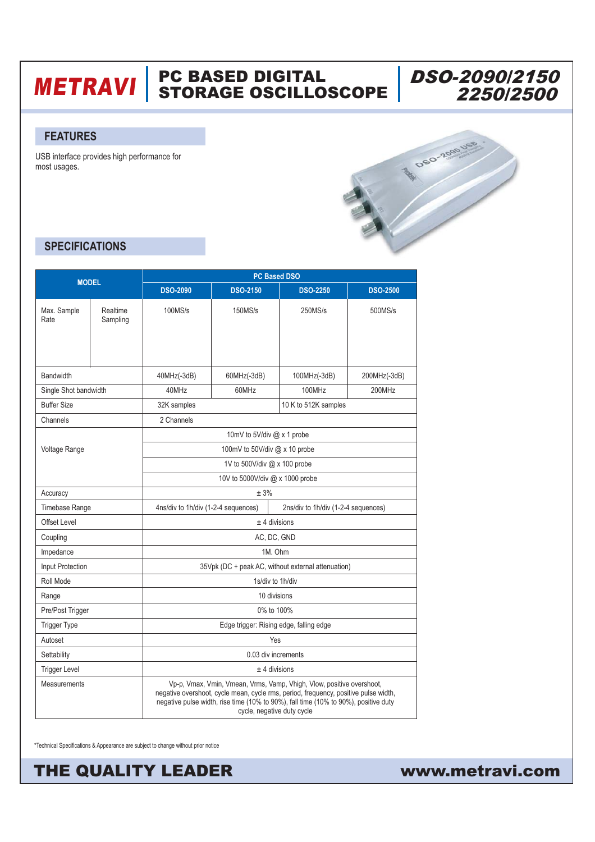## **METRAVI** | PC BASED DIGITAL<br>METRAVI | STORAGE OSCILLOSCOPE



#### **FEATURES**

USB interface provides high performance for most usages.



### **SPECIFICATIONS**

| <b>MODEL</b>          |                      | <b>PC Based DSO</b>                                                                                                                                                                                                                                                               |                 |                      |                 |  |  |
|-----------------------|----------------------|-----------------------------------------------------------------------------------------------------------------------------------------------------------------------------------------------------------------------------------------------------------------------------------|-----------------|----------------------|-----------------|--|--|
|                       |                      | <b>DSO-2090</b>                                                                                                                                                                                                                                                                   | <b>DSO-2150</b> | <b>DSO-2250</b>      | <b>DSO-2500</b> |  |  |
| Max. Sample<br>Rate   | Realtime<br>Sampling | 100MS/s                                                                                                                                                                                                                                                                           | 150MS/s         | 250MS/s              | 500MS/s         |  |  |
| <b>Bandwidth</b>      |                      | $40MHz(-3dB)$                                                                                                                                                                                                                                                                     | 60MHz(-3dB)     | 100MHz(-3dB)         | 200MHz(-3dB)    |  |  |
| Single Shot bandwidth |                      | 40MHz                                                                                                                                                                                                                                                                             | 60MHz           | 100MHz               | 200MHz          |  |  |
| <b>Buffer Size</b>    |                      | 32K samples                                                                                                                                                                                                                                                                       |                 | 10 K to 512K samples |                 |  |  |
| Channels              |                      | 2 Channels                                                                                                                                                                                                                                                                        |                 |                      |                 |  |  |
| Voltage Range         |                      | 10mV to 5V/div @ x 1 probe                                                                                                                                                                                                                                                        |                 |                      |                 |  |  |
|                       |                      | 100mV to 50V/div $@x$ 10 probe                                                                                                                                                                                                                                                    |                 |                      |                 |  |  |
|                       |                      | 1V to 500V/div @ x 100 probe                                                                                                                                                                                                                                                      |                 |                      |                 |  |  |
|                       |                      | 10V to 5000V/div @ x 1000 probe                                                                                                                                                                                                                                                   |                 |                      |                 |  |  |
| Accuracy              |                      | ± 3%                                                                                                                                                                                                                                                                              |                 |                      |                 |  |  |
| <b>Timebase Range</b> |                      | 4ns/div to 1h/div (1-2-4 sequences)<br>2ns/div to 1h/div (1-2-4 sequences)                                                                                                                                                                                                        |                 |                      |                 |  |  |
| <b>Offset Level</b>   |                      | $±$ 4 divisions                                                                                                                                                                                                                                                                   |                 |                      |                 |  |  |
| Coupling              |                      | AC, DC, GND                                                                                                                                                                                                                                                                       |                 |                      |                 |  |  |
| Impedance             |                      | 1M. Ohm                                                                                                                                                                                                                                                                           |                 |                      |                 |  |  |
| Input Protection      |                      | 35Vpk (DC + peak AC, without external attenuation)                                                                                                                                                                                                                                |                 |                      |                 |  |  |
| Roll Mode             |                      | 1s/div to 1h/div                                                                                                                                                                                                                                                                  |                 |                      |                 |  |  |
| Range                 |                      | 10 divisions                                                                                                                                                                                                                                                                      |                 |                      |                 |  |  |
| Pre/Post Trigger      |                      | 0% to 100%                                                                                                                                                                                                                                                                        |                 |                      |                 |  |  |
| <b>Trigger Type</b>   |                      | Edge trigger: Rising edge, falling edge                                                                                                                                                                                                                                           |                 |                      |                 |  |  |
| Autoset               |                      | Yes                                                                                                                                                                                                                                                                               |                 |                      |                 |  |  |
| Settability           |                      | 0.03 div increments                                                                                                                                                                                                                                                               |                 |                      |                 |  |  |
| <b>Trigger Level</b>  |                      | $±$ 4 divisions                                                                                                                                                                                                                                                                   |                 |                      |                 |  |  |
| <b>Measurements</b>   |                      | Vp-p, Vmax, Vmin, Vmean, Vrms, Vamp, Vhigh, Vlow, positive overshoot,<br>negative overshoot, cycle mean, cycle rms, period, frequency, positive pulse width,<br>negative pulse width, rise time (10% to 90%), fall time (10% to 90%), positive duty<br>cycle, negative duty cycle |                 |                      |                 |  |  |

\*Technical Specifications & Appearance are subject to change without prior notice

THE QUALITY LEADER

www.metravi.com